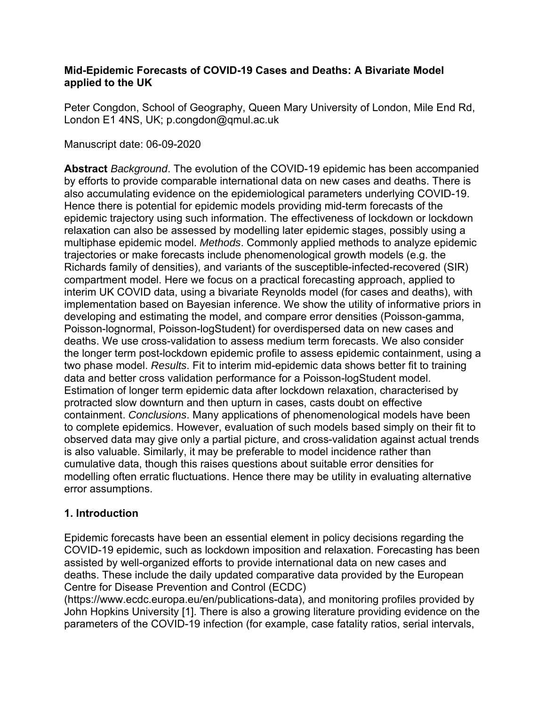### **Mid-Epidemic Forecasts of COVID-19 Cases and Deaths: A Bivariate Model applied to the UK**

Peter Congdon, School of Geography, Queen Mary University of London, Mile End Rd, London E1 4NS, UK; p.congdon@qmul.ac.uk

## Manuscript date: 06-09-2020

**Abstract** *Background*. The evolution of the COVID-19 epidemic has been accompanied by efforts to provide comparable international data on new cases and deaths. There is also accumulating evidence on the epidemiological parameters underlying COVID-19. Hence there is potential for epidemic models providing mid-term forecasts of the epidemic trajectory using such information. The effectiveness of lockdown or lockdown relaxation can also be assessed by modelling later epidemic stages, possibly using a multiphase epidemic model. *Methods*. Commonly applied methods to analyze epidemic trajectories or make forecasts include phenomenological growth models (e.g. the Richards family of densities), and variants of the susceptible-infected-recovered (SIR) compartment model. Here we focus on a practical forecasting approach, applied to interim UK COVID data, using a bivariate Reynolds model (for cases and deaths), with implementation based on Bayesian inference. We show the utility of informative priors in developing and estimating the model, and compare error densities (Poisson-gamma, Poisson-lognormal, Poisson-logStudent) for overdispersed data on new cases and deaths. We use cross-validation to assess medium term forecasts. We also consider the longer term post-lockdown epidemic profile to assess epidemic containment, using a two phase model. *Results*. Fit to interim mid-epidemic data shows better fit to training data and better cross validation performance for a Poisson-logStudent model. Estimation of longer term epidemic data after lockdown relaxation, characterised by protracted slow downturn and then upturn in cases, casts doubt on effective containment. *Conclusions*. Many applications of phenomenological models have been to complete epidemics. However, evaluation of such models based simply on their fit to observed data may give only a partial picture, and cross-validation against actual trends is also valuable. Similarly, it may be preferable to model incidence rather than cumulative data, though this raises questions about suitable error densities for modelling often erratic fluctuations. Hence there may be utility in evaluating alternative error assumptions.

## **1. Introduction**

Epidemic forecasts have been an essential element in policy decisions regarding the COVID-19 epidemic, such as lockdown imposition and relaxation. Forecasting has been assisted by well-organized efforts to provide international data on new cases and deaths. These include the daily updated comparative data provided by the European Centre for Disease Prevention and Control (ECDC)

(https://www.ecdc.europa.eu/en/publications-data), and monitoring profiles provided by John Hopkins University [1]. There is also a growing literature providing evidence on the parameters of the COVID-19 infection (for example, case fatality ratios, serial intervals,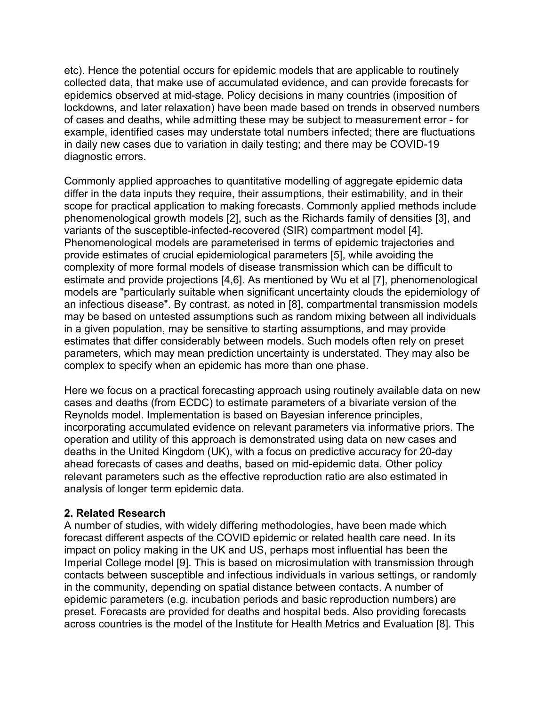etc). Hence the potential occurs for epidemic models that are applicable to routinely collected data, that make use of accumulated evidence, and can provide forecasts for epidemics observed at mid-stage. Policy decisions in many countries (imposition of lockdowns, and later relaxation) have been made based on trends in observed numbers of cases and deaths, while admitting these may be subject to measurement error - for example, identified cases may understate total numbers infected; there are fluctuations in daily new cases due to variation in daily testing; and there may be COVID-19 diagnostic errors.

Commonly applied approaches to quantitative modelling of aggregate epidemic data differ in the data inputs they require, their assumptions, their estimability, and in their scope for practical application to making forecasts. Commonly applied methods include phenomenological growth models [2], such as the Richards family of densities [3], and variants of the susceptible-infected-recovered (SIR) compartment model [4]. Phenomenological models are parameterised in terms of epidemic trajectories and provide estimates of crucial epidemiological parameters [5], while avoiding the complexity of more formal models of disease transmission which can be difficult to estimate and provide projections [4,6]. As mentioned by Wu et al [7], phenomenological models are "particularly suitable when significant uncertainty clouds the epidemiology of an infectious disease". By contrast, as noted in [8], compartmental transmission models may be based on untested assumptions such as random mixing between all individuals in a given population, may be sensitive to starting assumptions, and may provide estimates that differ considerably between models. Such models often rely on preset parameters, which may mean prediction uncertainty is understated. They may also be complex to specify when an epidemic has more than one phase.

Here we focus on a practical forecasting approach using routinely available data on new cases and deaths (from ECDC) to estimate parameters of a bivariate version of the Reynolds model. Implementation is based on Bayesian inference principles, incorporating accumulated evidence on relevant parameters via informative priors. The operation and utility of this approach is demonstrated using data on new cases and deaths in the United Kingdom (UK), with a focus on predictive accuracy for 20-day ahead forecasts of cases and deaths, based on mid-epidemic data. Other policy relevant parameters such as the effective reproduction ratio are also estimated in analysis of longer term epidemic data.

#### **2. Related Research**

A number of studies, with widely differing methodologies, have been made which forecast different aspects of the COVID epidemic or related health care need. In its impact on policy making in the UK and US, perhaps most influential has been the Imperial College model [9]. This is based on microsimulation with transmission through contacts between susceptible and infectious individuals in various settings, or randomly in the community, depending on spatial distance between contacts. A number of epidemic parameters (e.g. incubation periods and basic reproduction numbers) are preset. Forecasts are provided for deaths and hospital beds. Also providing forecasts across countries is the model of the Institute for Health Metrics and Evaluation [8]. This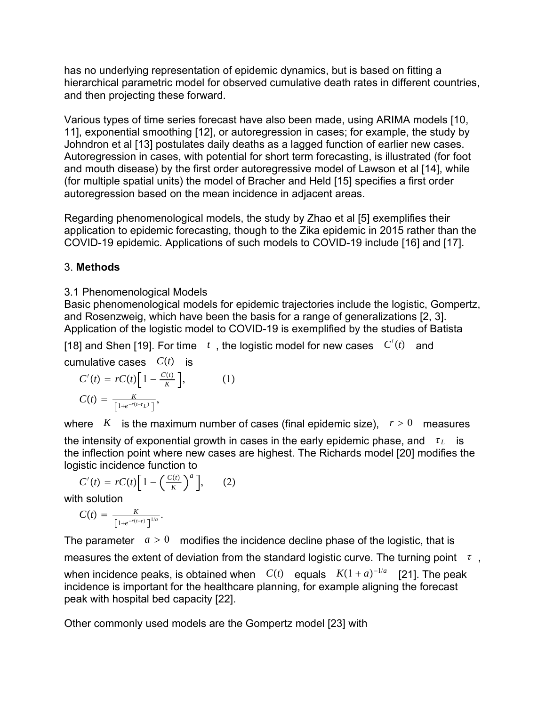has no underlying representation of epidemic dynamics, but is based on fitting a hierarchical parametric model for observed cumulative death rates in different countries, and then projecting these forward.

Various types of time series forecast have also been made, using ARIMA models [10, 11], exponential smoothing [12], or autoregression in cases; for example, the study by Johndron et al [13] postulates daily deaths as a lagged function of earlier new cases. Autoregression in cases, with potential for short term forecasting, is illustrated (for foot and mouth disease) by the first order autoregressive model of Lawson et al [14], while (for multiple spatial units) the model of Bracher and Held [15] specifies a first order autoregression based on the mean incidence in adjacent areas.

Regarding phenomenological models, the study by Zhao et al [5] exemplifies their application to epidemic forecasting, though to the Zika epidemic in 2015 rather than the COVID-19 epidemic. Applications of such models to COVID-19 include [16] and [17].

## 3. **Methods**

## 3.1 Phenomenological Models

Basic phenomenological models for epidemic trajectories include the logistic, Gompertz, and Rosenzweig, which have been the basis for a range of generalizations [2, 3]. Application of the logistic model to COVID-19 is exemplified by the studies of Batista

[18] and Shen [19]. For time  $t$  , the logistic model for new cases  $C'(t)$  and

cumulative cases  $C(t)$  is

$$
C'(t) = rC(t)\left[1 - \frac{C(t)}{K}\right],
$$
  
\n
$$
C(t) = \frac{K}{\left[1 + e^{-r(t - t_L)}\right]},
$$
\n(1)

where *K* is the maximum number of cases (final epidemic size),  $r > 0$  measures the intensity of exponential growth in cases in the early epidemic phase, and  $\tau_L$  is the inflection point where new cases are highest. The Richards model [20] modifies the logistic incidence function to

$$
C'(t) = rC(t) \left[ 1 - \left( \frac{C(t)}{K} \right)^a \right], \qquad (2)
$$
  
with solution

$$
C(t) = \frac{K}{\left[1+e^{-r(t-\tau)}\right]^{1/a}}.
$$

The parameter  $a > 0$  modifies the incidence decline phase of the logistic, that is measures the extent of deviation from the standard logistic curve. The turning point  $\tau$ ,

when incidence peaks, is obtained when  $C(t)$  equals  $K(1 + a)^{-1/a}$  [21]. The peak incidence is important for the healthcare planning, for example aligning the forecast peak with hospital bed capacity [22].

Other commonly used models are the Gompertz model [23] with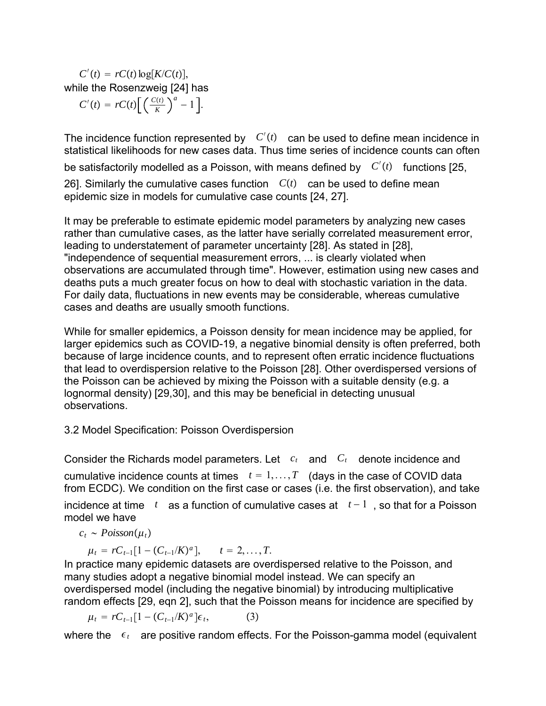$C'(t) = rC(t)\log[K/C(t)],$ while the Rosenzweig [24] has

 $C'(t) = rC(t)\left[\frac{C(t)}{K}\right]$  $a^{a}$  - 1].

The incidence function represented by  $C'(t)$  can be used to define mean incidence in statistical likelihoods for new cases data. Thus time series of incidence counts can often be satisfactorily modelled as a Poisson, with means defined by  $\;\; C'(t) \;\;$  functions [25, 26]. Similarly the cumulative cases function  $C(t)$  can be used to define mean epidemic size in models for cumulative case counts [24, 27].

It may be preferable to estimate epidemic model parameters by analyzing new cases rather than cumulative cases, as the latter have serially correlated measurement error, leading to understatement of parameter uncertainty [28]. As stated in [28], "independence of sequential measurement errors, ... is clearly violated when observations are accumulated through time". However, estimation using new cases and deaths puts a much greater focus on how to deal with stochastic variation in the data. For daily data, fluctuations in new events may be considerable, whereas cumulative cases and deaths are usually smooth functions.

While for smaller epidemics, a Poisson density for mean incidence may be applied, for larger epidemics such as COVID-19, a negative binomial density is often preferred, both because of large incidence counts, and to represent often erratic incidence fluctuations that lead to overdispersion relative to the Poisson [28]. Other overdispersed versions of the Poisson can be achieved by mixing the Poisson with a suitable density (e.g. a lognormal density) [29,30], and this may be beneficial in detecting unusual observations.

#### 3.2 Model Specification: Poisson Overdispersion

Consider the Richards model parameters. Let  $c_t$  and  $C_t$  denote incidence and cumulative incidence counts at times  $t = 1, \ldots, T$  (days in the case of COVID data from ECDC). We condition on the first case or cases (i.e. the first observation), and take incidence at time *t* as a function of cumulative cases at *t* − 1 , so that for a Poisson model we have

$$
c_t \sim Poisson(\mu_t)
$$

$$
\mu_t = rC_{t-1}[1 - (C_{t-1}/K)^a], \quad t = 2, \ldots, T.
$$

*In practice many epidemic datasets are overdispersed relative to the Poisson, and* many studies adopt a negative binomial model instead. We can specify an overdispersed model (including the negative binomial) by introducing multiplicative random effects [29, eqn 2], such that the Poisson means for incidence are specified by

$$
\mu_t = rC_{t-1}[1 - (C_{t-1}/K)^a]\epsilon_t, \qquad (3)
$$

where the  $\epsilon_t$  are positive random effects. For the Poisson-gamma model (equivalent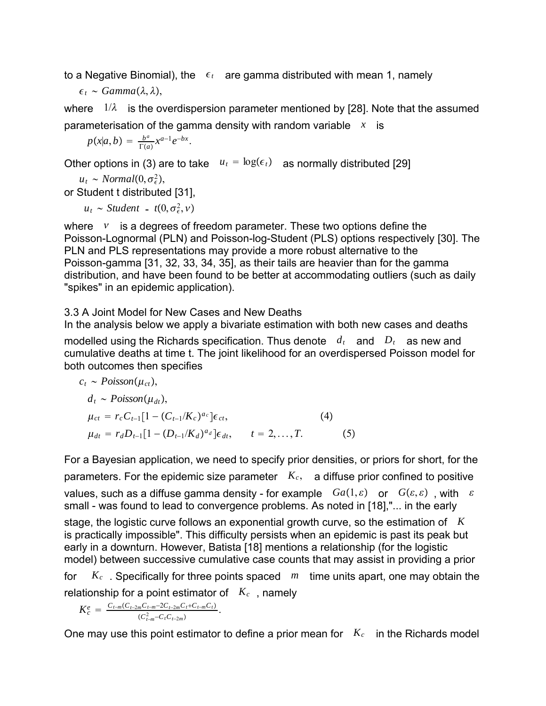to a Negative Binomial), the  $\epsilon_t$  are gamma distributed with mean 1, namely

$$
\epsilon_t \sim Gamma(\lambda, \lambda),
$$

where  $1/\lambda$  is the overdispersion parameter mentioned by [28]. Note that the assumed parameterisation of the gamma density with random variable *x* is

$$
p(x|a,b) = \frac{b^a}{\Gamma(a)} x^{a-1} e^{-bx}.
$$

Other options in (3) are to take  $u_t = \log(\epsilon_t)$  as normally distributed [29]

 $u_t \sim Normal(0, \sigma_{\epsilon}^2),$ 

or Student t distributed [31],

 $u_t \sim \text{Student}$  -  $t(0, \sigma_{\epsilon}^2, v)$ 

where  $\boldsymbol{v}$  is a degrees of freedom parameter. These two options define the Poisson-Lognormal (PLN) and Poisson-log-Student (PLS) options respectively [30]. The PLN and PLS representations may provide a more robust alternative to the Poisson-gamma [31, 32, 33, 34, 35], as their tails are heavier than for the gamma distribution, and have been found to be better at accommodating outliers (such as daily "spikes" in an epidemic application).

3.3 A Joint Model for New Cases and New Deaths

In the analysis below we apply a bivariate estimation with both new cases and deaths

modelled using the Richards specification. Thus denote  $d_t$  and  $D_t$  as new and cumulative deaths at time t. The joint likelihood for an overdispersed Poisson model for both outcomes then specifies

$$
c_{t} \sim Poisson(\mu_{ct}),
$$
  
\n
$$
d_{t} \sim Poisson(\mu_{dt}),
$$
  
\n
$$
\mu_{ct} = r_{c}C_{t-1}[1 - (C_{t-1}/K_{c})^{a_{c}}] \epsilon_{ct},
$$
  
\n
$$
\mu_{dt} = r_{d}D_{t-1}[1 - (D_{t-1}/K_{d})^{a_{d}}] \epsilon_{dt}, \quad t = 2,...,T.
$$
\n(5)

For a Bayesian application, we need to specify prior densities, or priors for short, for the parameters. For the epidemic size parameter  $K_c$ , a diffuse prior confined to positive values, such as a diffuse gamma density - for example  $Ga(1,\varepsilon)$  or  $G(\varepsilon,\varepsilon)$ , with  $\varepsilon$ small - was found to lead to convergence problems. As noted in [18],"... in the early stage, the logistic curve follows an exponential growth curve, so the estimation of *K*

is practically impossible". This difficulty persists when an epidemic is past its peak but early in a downturn. However, Batista [18] mentions a relationship (for the logistic model) between successive cumulative case counts that may assist in providing a prior

for *Kc* . Specifically for three points spaced *m* time units apart, one may obtain the relationship for a point estimator of *Kc* , namely

$$
K_c^e = \frac{C_{t-m}(C_{t-2m}C_{t-m}-2C_{t-2m}C_t+C_{t-m}C_t)}{(C_{t-m}^2-C_tC_{t-2m})}.
$$

One may use this point estimator to define a prior mean for  $K_c$  in the Richards model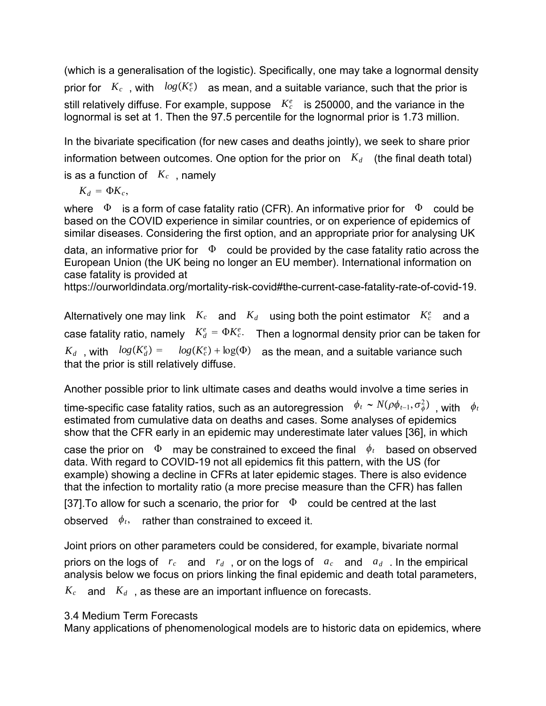(which is a generalisation of the logistic). Specifically, one may take a lognormal density prior for  $K_c$  , with  $log(K_c^e)$  as mean, and a suitable variance, such that the prior is still relatively diffuse. For example, suppose  $K_c^e$  is 250000, and the variance in the lognormal is set at 1. Then the 97.5 percentile for the lognormal prior is 1.73 million.

In the bivariate specification (for new cases and deaths jointly), we seek to share prior information between outcomes. One option for the prior on  $K_d$  (the final death total) is as a function of  $K_c$ , namely

 $K_d = \Phi K_c$ 

where  $\Phi$  is a form of case fatality ratio (CFR). An informative prior for  $\Phi$  could be based on the COVID experience in similar countries, or on experience of epidemics of similar diseases. Considering the first option, and an appropriate prior for analysing UK

data, an informative prior for  $\Phi$  could be provided by the case fatality ratio across the European Union (the UK being no longer an EU member). International information on case fatality is provided at

https://ourworldindata.org/mortality-risk-covid#the-current-case-fatality-rate-of-covid-19.

Alternatively one may link  $K_c$  and  $K_d$  using both the point estimator  $K_c^e$  and a case fatality ratio, namely  $K_d^e = \Phi K_c^e$ . Then a lognormal density prior can be taken for  $K_d$ , with  $log(K_d^e) = log(K_c^e) + log(\Phi)$  as the mean, and a suitable variance such that the prior is still relatively diffuse.

Another possible prior to link ultimate cases and deaths would involve a time series in

time-specific case fatality ratios, such as an autoregression  $\phi_t \thicksim N(\rho \phi_{t-1}, \sigma_\phi^2)$  , with  $\phi_t$ estimated from cumulative data on deaths and cases. Some analyses of epidemics show that the CFR early in an epidemic may underestimate later values [36], in which

case the prior on  $\Phi$  may be constrained to exceed the final  $\phi_t$  based on observed data. With regard to COVID-19 not all epidemics fit this pattern, with the US (for example) showing a decline in CFRs at later epidemic stages. There is also evidence that the infection to mortality ratio (a more precise measure than the CFR) has fallen

[37]. To allow for such a scenario, the prior for  $\Phi$  could be centred at the last observed  $\phi_t$ , rather than constrained to exceed it.

Joint priors on other parameters could be considered, for example, bivariate normal priors on the logs of *rc* and *rd* , or on the logs of *ac* and *ad* . In the empirical analysis below we focus on priors linking the final epidemic and death total parameters,

 $K_c$  and  $K_d$ , as these are an important influence on forecasts.

## 3.4 Medium Term Forecasts

Many applications of phenomenological models are to historic data on epidemics, where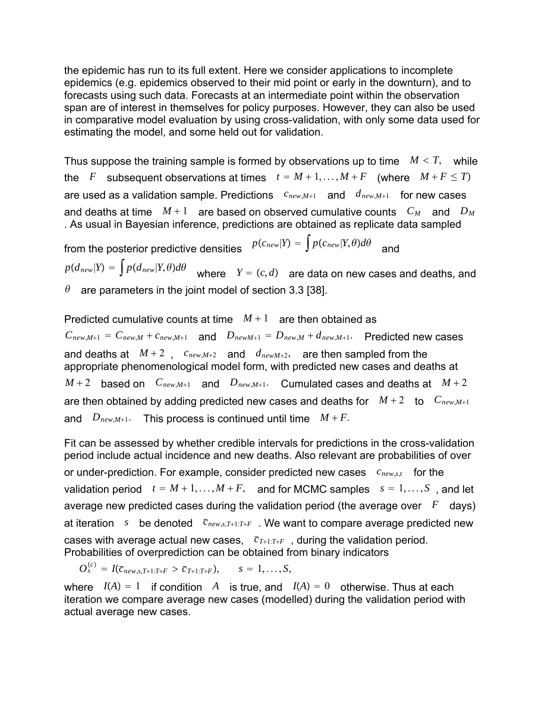the epidemic has run to its full extent. Here we consider applications to incomplete epidemics (e.g. epidemics observed to their mid point or early in the downturn), and to forecasts using such data. Forecasts at an intermediate point within the observation span are of interest in themselves for policy purposes. However, they can also be used in comparative model evaluation by using cross-validation, with only some data used for estimating the model, and some held out for validation.

Thus suppose the training sample is formed by observations up to time  $M < T$ , while the *F* subsequent observations at times  $t = M + 1, ..., M + F$  (where  $M + F \leq T$ ) are used as a validation sample. Predictions  $c_{new,M+1}$  and  $d_{new,M+1}$  for new cases and deaths at time  $M+1$  are based on observed cumulative counts  $C_M$  and  $D_M$ . As usual in Bayesian inference, predictions are obtained as replicate data sampled

from the posterior predictive densities  $p(c_{new}|Y) = \int p(c_{new}|Y,\theta)d\theta$  and  $p(d_{\mathit{new}}|Y) = \int p(d_{\mathit{new}}|Y,\theta)d\theta$  where  $Y = (c,d)$  are data on new cases and deaths, and  $\theta$  are parameters in the joint model of section 3.3 [38].

Predicted cumulative counts at time  $M+1$  are then obtained as  $C_{new,M+1} = C_{new,M} + c_{new,M+1}$  and  $D_{new,M+1} = D_{new,M} + d_{new,M+1}$ . Predicted new cases and deaths at  $M+2$ ,  $c_{new,M+2}$  and  $d_{newM+2}$ , are then sampled from the appropriate phenomenological model form, with predicted new cases and deaths at  $M+2$  based on  $C_{new,M+1}$  and  $D_{new,M+1}$ . Cumulated cases and deaths at  $M+2$ are then obtained by adding predicted new cases and deaths for  $M+2$  to  $C_{new,M+1}$ and  $D_{new,M+1}$ . This process is continued until time  $M + F$ .

Fit can be assessed by whether credible intervals for predictions in the cross-validation period include actual incidence and new deaths. Also relevant are probabilities of over or under-prediction. For example, consider predicted new cases *cnew*,*s*,*t* for the validation period  $t = M + 1, ..., M + F$ , and for MCMC samples  $s = 1, ..., S$ , and let average new predicted cases during the validation period (the average over  $F$  days) at iteration *s* be denoted  $\bar{c}_{new,s,T+1:T+F}$  . We want to compare average predicted new cases with average actual new cases,  $\bar{c}_{T+1:T+F}$ , during the validation period. Probabilities of overprediction can be obtained from binary indicators

 $O_s^{(c)} = I(\bar{c}_{new,s,T+1:T+F} > \bar{c}_{T+1:T+F}),$   $s = 1,...,S,$ 

where  $I(A) = 1$  if condition A is true, and  $I(A) = 0$  otherwise. Thus at each iteration we compare average new cases (modelled) during the validation period with actual average new cases.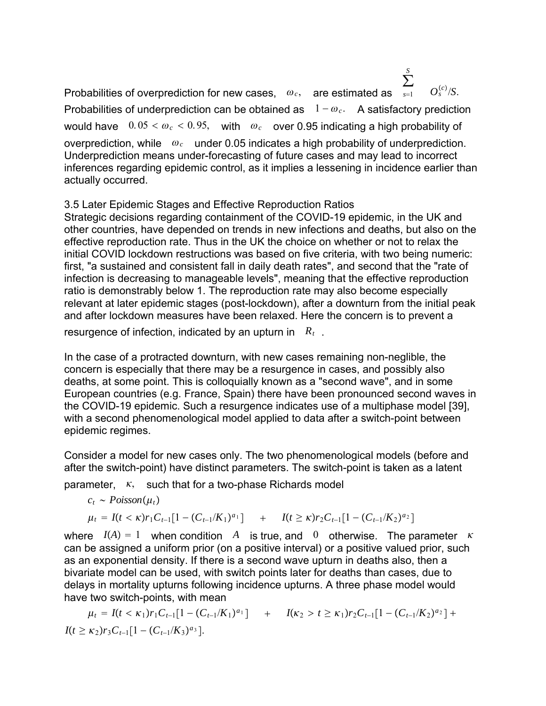Probabilities of overprediction for new cases,  $\omega_c$ , are estimated as *s*1 ∑  $O_{s}^{(c)}$ /*S*. Probabilities of underprediction can be obtained as  $1 - \omega_c$ . A satisfactory prediction would have  $0.05 < \omega_c < 0.95$ , with  $\omega_c$  over 0.95 indicating a high probability of overprediction, while  $\omega_c$  under 0.05 indicates a high probability of underprediction. Underprediction means under-forecasting of future cases and may lead to incorrect inferences regarding epidemic control, as it implies a lessening in incidence earlier than actually occurred.

*S*

3.5 Later Epidemic Stages and Effective Reproduction Ratios

Strategic decisions regarding containment of the COVID-19 epidemic, in the UK and other countries, have depended on trends in new infections and deaths, but also on the effective reproduction rate. Thus in the UK the choice on whether or not to relax the initial COVID lockdown restructions was based on five criteria, with two being numeric: first, "a sustained and consistent fall in daily death rates", and second that the "rate of infection is decreasing to manageable levels", meaning that the effective reproduction ratio is demonstrably below 1. The reproduction rate may also become especially relevant at later epidemic stages (post-lockdown), after a downturn from the initial peak and after lockdown measures have been relaxed. Here the concern is to prevent a

resurgence of infection, indicated by an upturn in *Rt* .

In the case of a protracted downturn, with new cases remaining non-neglible, the concern is especially that there may be a resurgence in cases, and possibly also deaths, at some point. This is colloquially known as a "second wave", and in some European countries (e.g. France, Spain) there have been pronounced second waves in the COVID-19 epidemic. Such a resurgence indicates use of a multiphase model [39], with a second phenomenological model applied to data after a switch-point between epidemic regimes.

Consider a model for new cases only. The two phenomenological models (before and after the switch-point) have distinct parameters. The switch-point is taken as a latent

parameter,  $\kappa$ , such that for a two-phase Richards model

$$
c_t \sim Poisson(\mu_t)
$$
  
\n
$$
\mu_t = I(t < \kappa)r_1C_{t-1}[1 - (C_{t-1}/K_1)^{a_1}] + I(t \geq \kappa)r_2C_{t-1}[1 - (C_{t-1}/K_2)^{a_2}]
$$

where  $I(A) = 1$  when condition A is true, and 0 otherwise. The parameter  $\kappa$ can be assigned a uniform prior (on a positive interval) or a positive valued prior, such as an exponential density. If there is a second wave upturn in deaths also, then a bivariate model can be used, with switch points later for deaths than cases, due to delays in mortality upturns following incidence upturns. A three phase model would have two switch-points, with mean

$$
\mu_t = I(t < \kappa_1)r_1C_{t-1}[1 - (C_{t-1}/K_1)^{a_1}] + I(\kappa_2 > t \ge \kappa_1)r_2C_{t-1}[1 - (C_{t-1}/K_2)^{a_2}] + I(t \ge \kappa_2)r_3C_{t-1}[1 - (C_{t-1}/K_3)^{a_3}].
$$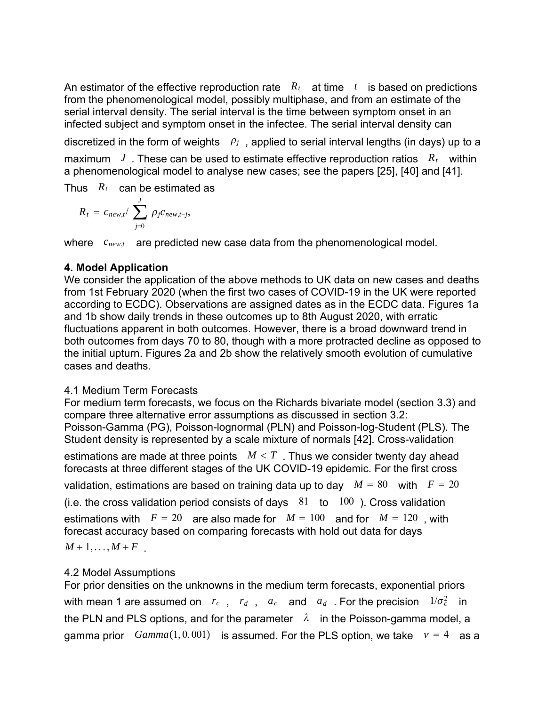An estimator of the effective reproduction rate  $R_t$  at time  $t$  is based on predictions from the phenomenological model, possibly multiphase, and from an estimate of the serial interval density. The serial interval is the time between symptom onset in an infected subject and symptom onset in the infectee. The serial interval density can

discretized in the form of weights  $\rho_j$ , applied to serial interval lengths (in days) up to a maximum *J* . These can be used to estimate effective reproduction ratios *Rt* within a phenomenological model to analyse new cases; see the papers [25], [40] and [41].

Thus  $R_t$  can be estimated as

$$
R_t = c_{new,t} / \sum_{j=0}^{J} \rho_j c_{new,t-j},
$$

where  $c_{\text{new},t}$  are predicted new case data from the phenomenological model.

## **4. Model Application**

We consider the application of the above methods to UK data on new cases and deaths from 1st February 2020 (when the first two cases of COVID-19 in the UK were reported according to ECDC). Observations are assigned dates as in the ECDC data. Figures 1a and 1b show daily trends in these outcomes up to 8th August 2020, with erratic fluctuations apparent in both outcomes. However, there is a broad downward trend in both outcomes from days 70 to 80, though with a more protracted decline as opposed to the initial upturn. Figures 2a and 2b show the relatively smooth evolution of cumulative cases and deaths.

## 4.1 Medium Term Forecasts

For medium term forecasts, we focus on the Richards bivariate model (section 3.3) and compare three alternative error assumptions as discussed in section 3.2: Poisson-Gamma (PG), Poisson-lognormal (PLN) and Poisson-log-Student (PLS). The Student density is represented by a scale mixture of normals [42]. Cross-validation

estimations are made at three points  $M < T$ . Thus we consider twenty day ahead forecasts at three different stages of the UK COVID-19 epidemic. For the first cross

validation, estimations are based on training data up to day  $M = 80$  with  $F = 20$ 

(i.e. the cross validation period consists of days  $81$  to  $100$ ). Cross validation

estimations with  $F = 20$  are also made for  $M = 100$  and for  $M = 120$ , with forecast accuracy based on comparing forecasts with hold out data for days  $M + 1, \ldots, M + F$ 

## 4.2 Model Assumptions

For prior densities on the unknowns in the medium term forecasts, exponential priors with mean 1 are assumed on  $r_c$  ,  $r_d$  ,  $a_c$  and  $a_d$  . For the precision  $1/\sigma_\epsilon^2$  in the PLN and PLS options, and for the parameter  $\lambda$  in the Poisson-gamma model, a gamma prior  $Gamma(1, 0.001)$  is assumed. For the PLS option, we take  $v = 4$  as a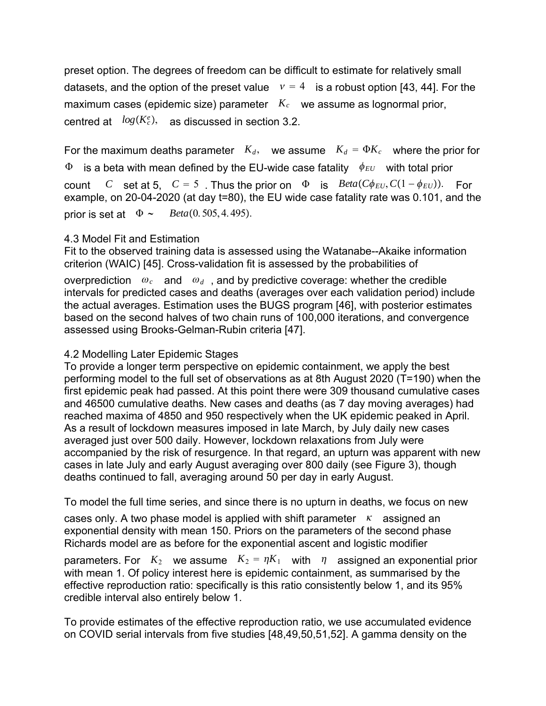preset option. The degrees of freedom can be difficult to estimate for relatively small datasets, and the option of the preset value  $v = 4$  is a robust option [43, 44]. For the maximum cases (epidemic size) parameter  $K_c$  we assume as lognormal prior, centred at  $log(K_c^e)$ , as discussed in section 3.2.

For the maximum deaths parameter  $K_d$ , we assume  $K_d = \Phi K_c$  where the prior for  $\Phi$  is a beta with mean defined by the EU-wide case fatality  $\phi_{EU}$  with total prior count *C* set at 5,  $C = 5$ . Thus the prior on  $\Phi$  is  $Beta(C\phi_{EU}, C(1 - \phi_{EU}))$ . For example, on 20-04-2020 (at day t=80), the EU wide case fatality rate was 0.101, and the prior is set at  $\Phi \sim \text{Beta}(0.505, 4.495)$ .

## 4.3 Model Fit and Estimation

Fit to the observed training data is assessed using the Watanabe--Akaike information criterion (WAIC) [45]. Cross-validation fit is assessed by the probabilities of

overprediction  $\omega_c$  and  $\omega_d$ , and by predictive coverage: whether the credible intervals for predicted cases and deaths (averages over each validation period) include the actual averages. Estimation uses the BUGS program [46], with posterior estimates based on the second halves of two chain runs of 100,000 iterations, and convergence assessed using Brooks-Gelman-Rubin criteria [47].

### 4.2 Modelling Later Epidemic Stages

To provide a longer term perspective on epidemic containment, we apply the best performing model to the full set of observations as at 8th August 2020 (T=190) when the first epidemic peak had passed. At this point there were 309 thousand cumulative cases and 46500 cumulative deaths. New cases and deaths (as 7 day moving averages) had reached maxima of 4850 and 950 respectively when the UK epidemic peaked in April. As a result of lockdown measures imposed in late March, by July daily new cases averaged just over 500 daily. However, lockdown relaxations from July were accompanied by the risk of resurgence. In that regard, an upturn was apparent with new cases in late July and early August averaging over 800 daily (see Figure 3), though deaths continued to fall, averaging around 50 per day in early August.

To model the full time series, and since there is no upturn in deaths, we focus on new

cases only. A two phase model is applied with shift parameter  $\kappa$  assigned an exponential density with mean 150. Priors on the parameters of the second phase Richards model are as before for the exponential ascent and logistic modifier

parameters. For  $K_2$  we assume  $K_2 = \eta K_1$  with  $\eta$  assigned an exponential prior with mean 1. Of policy interest here is epidemic containment, as summarised by the effective reproduction ratio: specifically is this ratio consistently below 1, and its 95% credible interval also entirely below 1.

To provide estimates of the effective reproduction ratio, we use accumulated evidence on COVID serial intervals from five studies [48,49,50,51,52]. A gamma density on the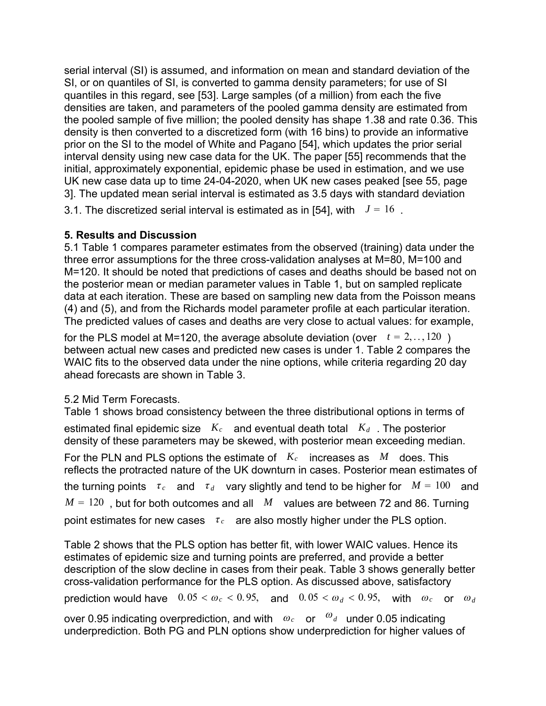serial interval (SI) is assumed, and information on mean and standard deviation of the SI, or on quantiles of SI, is converted to gamma density parameters; for use of SI quantiles in this regard, see [53]. Large samples (of a million) from each the five densities are taken, and parameters of the pooled gamma density are estimated from the pooled sample of five million; the pooled density has shape 1.38 and rate 0.36. This density is then converted to a discretized form (with 16 bins) to provide an informative prior on the SI to the model of White and Pagano [54], which updates the prior serial interval density using new case data for the UK. The paper [55] recommends that the initial, approximately exponential, epidemic phase be used in estimation, and we use UK new case data up to time 24-04-2020, when UK new cases peaked [see 55, page 3]. The updated mean serial interval is estimated as 3.5 days with standard deviation

3.1. The discretized serial interval is estimated as in [54], with  $J = 16$ .

## **5. Results and Discussion**

5.1 Table 1 compares parameter estimates from the observed (training) data under the three error assumptions for the three cross-validation analyses at M=80, M=100 and M=120. It should be noted that predictions of cases and deaths should be based not on the posterior mean or median parameter values in Table 1, but on sampled replicate data at each iteration. These are based on sampling new data from the Poisson means (4) and (5), and from the Richards model parameter profile at each particular iteration. The predicted values of cases and deaths are very close to actual values: for example,

for the PLS model at M=120, the average absolute deviation (over  $t = 2, \ldots, 120$ ) between actual new cases and predicted new cases is under 1. Table 2 compares the WAIC fits to the observed data under the nine options, while criteria regarding 20 day ahead forecasts are shown in Table 3.

5.2 Mid Term Forecasts.

Table 1 shows broad consistency between the three distributional options in terms of estimated final epidemic size  $K_c$  and eventual death total  $K_d$ . The posterior density of these parameters may be skewed, with posterior mean exceeding median.

For the PLN and PLS options the estimate of *Kc* increases as *M* does. This reflects the protracted nature of the UK downturn in cases. Posterior mean estimates of the turning points  $\tau_c$  and  $\tau_d$  vary slightly and tend to be higher for  $M = 100$  and  $M = 120$ , but for both outcomes and all *M* values are between 72 and 86. Turning point estimates for new cases  $\tau_c$  are also mostly higher under the PLS option.

Table 2 shows that the PLS option has better fit, with lower WAIC values. Hence its estimates of epidemic size and turning points are preferred, and provide a better description of the slow decline in cases from their peak. Table 3 shows generally better cross-validation performance for the PLS option. As discussed above, satisfactory prediction would have  $0.05 < \omega_c < 0.95$ , and  $0.05 < \omega_d < 0.95$ , with  $\omega_c$  or  $\omega_d$ 

over 0.95 indicating overprediction, and with  $\omega_c$  or  $\omega_d$  under 0.05 indicating underprediction. Both PG and PLN options show underprediction for higher values of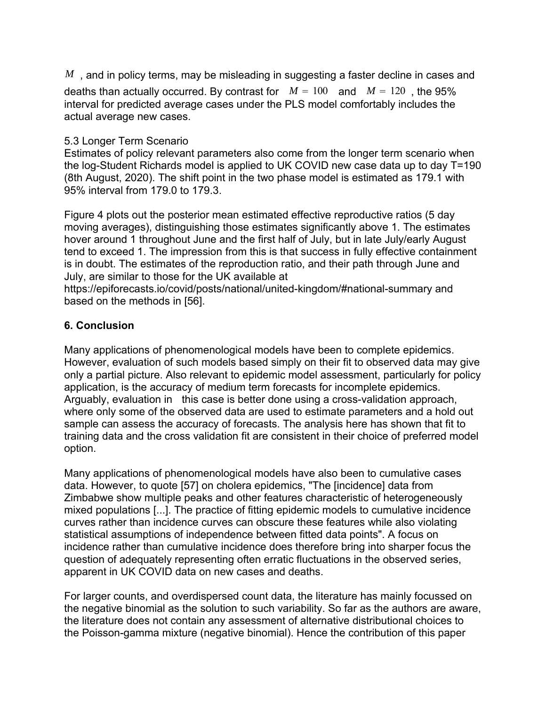*M*, and in policy terms, may be misleading in suggesting a faster decline in cases and deaths than actually occurred. By contrast for  $M = 100$  and  $M = 120$ , the 95% interval for predicted average cases under the PLS model comfortably includes the actual average new cases.

## 5.3 Longer Term Scenario

Estimates of policy relevant parameters also come from the longer term scenario when the log-Student Richards model is applied to UK COVID new case data up to day T=190 (8th August, 2020). The shift point in the two phase model is estimated as 179.1 with 95% interval from 179.0 to 179.3.

Figure 4 plots out the posterior mean estimated effective reproductive ratios (5 day moving averages), distinguishing those estimates significantly above 1. The estimates hover around 1 throughout June and the first half of July, but in late July/early August tend to exceed 1. The impression from this is that success in fully effective containment is in doubt. The estimates of the reproduction ratio, and their path through June and July, are similar to those for the UK available at

https://epiforecasts.io/covid/posts/national/united-kingdom/#national-summary and based on the methods in [56].

## **6. Conclusion**

Many applications of phenomenological models have been to complete epidemics. However, evaluation of such models based simply on their fit to observed data may give only a partial picture. Also relevant to epidemic model assessment, particularly for policy application, is the accuracy of medium term forecasts for incomplete epidemics. Arguably, evaluation in this case is better done using a cross-validation approach, where only some of the observed data are used to estimate parameters and a hold out sample can assess the accuracy of forecasts. The analysis here has shown that fit to training data and the cross validation fit are consistent in their choice of preferred model option.

Many applications of phenomenological models have also been to cumulative cases data. However, to quote [57] on cholera epidemics, "The [incidence] data from Zimbabwe show multiple peaks and other features characteristic of heterogeneously mixed populations [...]. The practice of fitting epidemic models to cumulative incidence curves rather than incidence curves can obscure these features while also violating statistical assumptions of independence between fitted data points". A focus on incidence rather than cumulative incidence does therefore bring into sharper focus the question of adequately representing often erratic fluctuations in the observed series, apparent in UK COVID data on new cases and deaths.

For larger counts, and overdispersed count data, the literature has mainly focussed on the negative binomial as the solution to such variability. So far as the authors are aware, the literature does not contain any assessment of alternative distributional choices to the Poisson-gamma mixture (negative binomial). Hence the contribution of this paper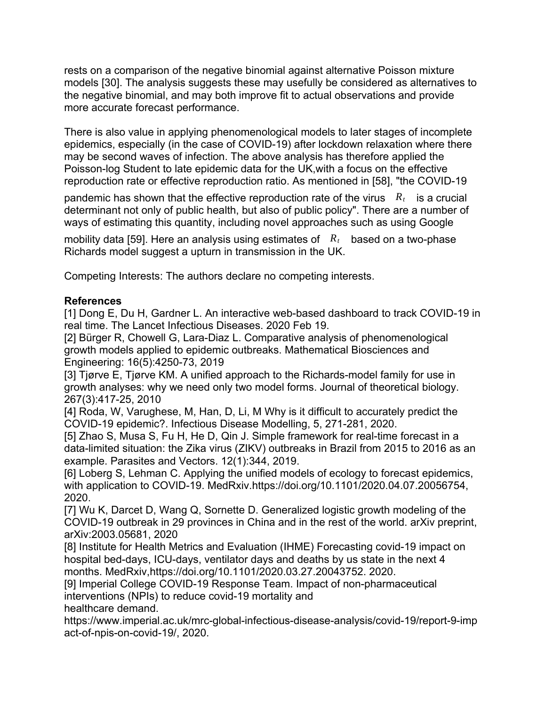rests on a comparison of the negative binomial against alternative Poisson mixture models [30]. The analysis suggests these may usefully be considered as alternatives to the negative binomial, and may both improve fit to actual observations and provide more accurate forecast performance.

There is also value in applying phenomenological models to later stages of incomplete epidemics, especially (in the case of COVID-19) after lockdown relaxation where there may be second waves of infection. The above analysis has therefore applied the Poisson-log Student to late epidemic data for the UK,with a focus on the effective reproduction rate or effective reproduction ratio. As mentioned in [58], "the COVID-19

pandemic has shown that the effective reproduction rate of the virus  $R_t$  is a crucial determinant not only of public health, but also of public policy". There are a number of ways of estimating this quantity, including novel approaches such as using Google

mobility data [59]. Here an analysis using estimates of *Rt* based on a two-phase Richards model suggest a upturn in transmission in the UK.

Competing Interests: The authors declare no competing interests.

## **References**

[1] Dong E, Du H, Gardner L. An interactive web-based dashboard to track COVID-19 in real time. The Lancet Infectious Diseases. 2020 Feb 19.

[2] Bürger R, Chowell G, Lara-Diaz L. Comparative analysis of phenomenological growth models applied to epidemic outbreaks. Mathematical Biosciences and Engineering: 16(5):4250-73, 2019

[3] Tjørve E, Tjørve KM. A unified approach to the Richards-model family for use in growth analyses: why we need only two model forms. Journal of theoretical biology. 267(3):417-25, 2010

[4] Roda, W, Varughese, M, Han, D, Li, M Why is it difficult to accurately predict the COVID-19 epidemic?. Infectious Disease Modelling, 5, 271-281, 2020.

[5] Zhao S, Musa S, Fu H, He D, Qin J. Simple framework for real-time forecast in a data-limited situation: the Zika virus (ZIKV) outbreaks in Brazil from 2015 to 2016 as an example. Parasites and Vectors. 12(1):344, 2019.

[6] Loberg S, Lehman C. Applying the unified models of ecology to forecast epidemics, with application to COVID-19. MedRxiv.https://doi.org/10.1101/2020.04.07.20056754, 2020.

[7] Wu K, Darcet D, Wang Q, Sornette D. Generalized logistic growth modeling of the COVID-19 outbreak in 29 provinces in China and in the rest of the world. arXiv preprint, arXiv:2003.05681, 2020

[8] Institute for Health Metrics and Evaluation (IHME) Forecasting covid-19 impact on hospital bed-days, ICU-days, ventilator days and deaths by us state in the next 4 months. MedRxiv,https://doi.org/10.1101/2020.03.27.20043752. 2020.

[9] Imperial College COVID-19 Response Team. Impact of non-pharmaceutical interventions (NPIs) to reduce covid-19 mortality and

healthcare demand.

https://www.imperial.ac.uk/mrc-global-infectious-disease-analysis/covid-19/report-9-imp act-of-npis-on-covid-19/, 2020.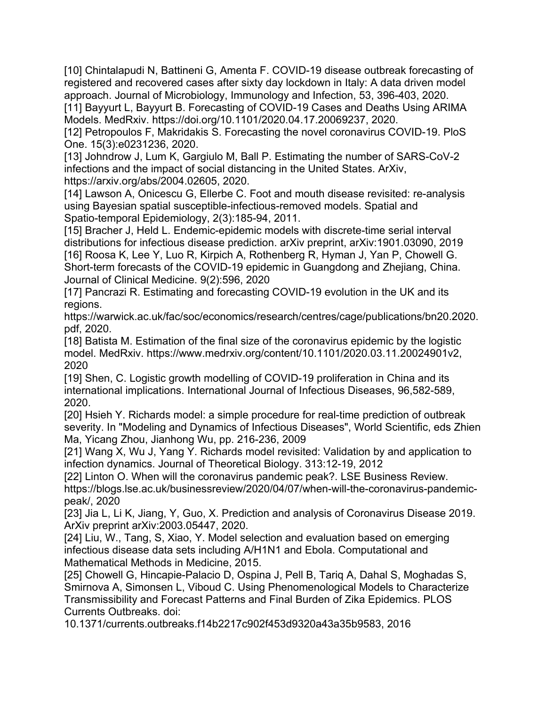[10] Chintalapudi N, Battineni G, Amenta F. COVID-19 disease outbreak forecasting of registered and recovered cases after sixty day lockdown in Italy: A data driven model approach. Journal of Microbiology, Immunology and Infection, 53, 396-403, 2020.

[11] Bayyurt L, Bayyurt B. Forecasting of COVID-19 Cases and Deaths Using ARIMA Models. MedRxiv. https://doi.org/10.1101/2020.04.17.20069237, 2020.

[12] Petropoulos F, Makridakis S. Forecasting the novel coronavirus COVID-19. PloS One. 15(3):e0231236, 2020.

[13] Johndrow J, Lum K, Gargiulo M, Ball P. Estimating the number of SARS-CoV-2 infections and the impact of social distancing in the United States. ArXiv, https://arxiv.org/abs/2004.02605, 2020.

[14] Lawson A, Onicescu G, Ellerbe C. Foot and mouth disease revisited: re-analysis using Bayesian spatial susceptible-infectious-removed models. Spatial and Spatio-temporal Epidemiology, 2(3):185-94, 2011.

[15] Bracher J, Held L. Endemic-epidemic models with discrete-time serial interval distributions for infectious disease prediction. arXiv preprint, arXiv:1901.03090, 2019 [16] Roosa K, Lee Y, Luo R, Kirpich A, Rothenberg R, Hyman J, Yan P, Chowell G. Short-term forecasts of the COVID-19 epidemic in Guangdong and Zhejiang, China. Journal of Clinical Medicine. 9(2):596, 2020

[17] Pancrazi R. Estimating and forecasting COVID-19 evolution in the UK and its regions.

https://warwick.ac.uk/fac/soc/economics/research/centres/cage/publications/bn20.2020. pdf, 2020.

[18] Batista M. Estimation of the final size of the coronavirus epidemic by the logistic model. MedRxiv. https://www.medrxiv.org/content/10.1101/2020.03.11.20024901v2, 2020

[19] Shen, C. Logistic growth modelling of COVID-19 proliferation in China and its international implications. International Journal of Infectious Diseases, 96,582-589, 2020.

[20] Hsieh Y. Richards model: a simple procedure for real-time prediction of outbreak severity. In "Modeling and Dynamics of Infectious Diseases", World Scientific, eds Zhien Ma, Yicang Zhou, Jianhong Wu, pp. 216-236, 2009

[21] Wang X, Wu J, Yang Y. Richards model revisited: Validation by and application to infection dynamics. Journal of Theoretical Biology. 313:12-19, 2012

[22] Linton O. When will the coronavirus pandemic peak?. LSE Business Review. https://blogs.lse.ac.uk/businessreview/2020/04/07/when-will-the-coronavirus-pandemicpeak/, 2020

[23] Jia L, Li K, Jiang, Y, Guo, X. Prediction and analysis of Coronavirus Disease 2019. ArXiv preprint arXiv:2003.05447, 2020.

[24] Liu, W., Tang, S, Xiao, Y. Model selection and evaluation based on emerging infectious disease data sets including A/H1N1 and Ebola. Computational and Mathematical Methods in Medicine, 2015.

[25] Chowell G, Hincapie-Palacio D, Ospina J, Pell B, Tarig A, Dahal S, Moghadas S, Smirnova A, Simonsen L, Viboud C. Using Phenomenological Models to Characterize Transmissibility and Forecast Patterns and Final Burden of Zika Epidemics. PLOS Currents Outbreaks. doi:

10.1371/currents.outbreaks.f14b2217c902f453d9320a43a35b9583, 2016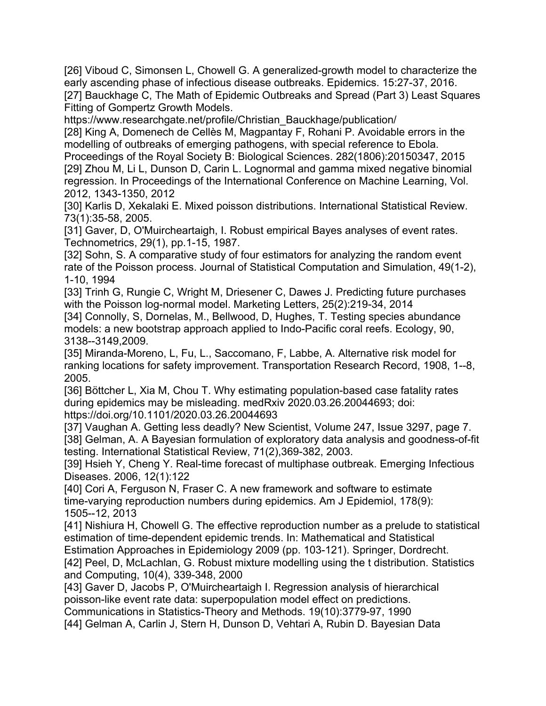[26] Viboud C, Simonsen L, Chowell G. A generalized-growth model to characterize the early ascending phase of infectious disease outbreaks. Epidemics. 15:27-37, 2016. [27] Bauckhage C, The Math of Epidemic Outbreaks and Spread (Part 3) Least Squares Fitting of Gompertz Growth Models.

https://www.researchgate.net/profile/Christian\_Bauckhage/publication/ [28] King A, Domenech de Cellès M, Magpantay F, Rohani P. Avoidable errors in the modelling of outbreaks of emerging pathogens, with special reference to Ebola. Proceedings of the Royal Society B: Biological Sciences. 282(1806):20150347, 2015 [29] Zhou M, Li L, Dunson D, Carin L. Lognormal and gamma mixed negative binomial regression. In Proceedings of the International Conference on Machine Learning, Vol. 2012, 1343-1350, 2012

[30] Karlis D, Xekalaki E. Mixed poisson distributions. International Statistical Review. 73(1):35-58, 2005.

[31] Gaver, D, O'Muircheartaigh, I. Robust empirical Bayes analyses of event rates. Technometrics, 29(1), pp.1-15, 1987.

[32] Sohn, S. A comparative study of four estimators for analyzing the random event rate of the Poisson process. Journal of Statistical Computation and Simulation, 49(1-2), 1-10, 1994

[33] Trinh G, Rungie C, Wright M, Driesener C, Dawes J. Predicting future purchases with the Poisson log-normal model. Marketing Letters, 25(2):219-34, 2014

[34] Connolly, S, Dornelas, M., Bellwood, D, Hughes, T. Testing species abundance models: a new bootstrap approach applied to Indo-Pacific coral reefs. Ecology, 90, 3138--3149,2009.

[35] Miranda-Moreno, L, Fu, L., Saccomano, F, Labbe, A. Alternative risk model for ranking locations for safety improvement. Transportation Research Record, 1908, 1--8, 2005.

[36] Böttcher L, Xia M, Chou T. Why estimating population-based case fatality rates during epidemics may be misleading. medRxiv 2020.03.26.20044693; doi: https://doi.org/10.1101/2020.03.26.20044693

[37] Vaughan A. Getting less deadly? New Scientist, Volume 247, Issue 3297, page 7. [38] Gelman, A. A Bayesian formulation of exploratory data analysis and goodness-of-fit testing. International Statistical Review, 71(2),369-382, 2003.

[39] Hsieh Y, Cheng Y. Real-time forecast of multiphase outbreak. Emerging Infectious Diseases. 2006, 12(1):122

[40] Cori A, Ferguson N, Fraser C. A new framework and software to estimate time-varying reproduction numbers during epidemics. Am J Epidemiol, 178(9): 1505--12, 2013

[41] Nishiura H, Chowell G. The effective reproduction number as a prelude to statistical estimation of time-dependent epidemic trends. In: Mathematical and Statistical Estimation Approaches in Epidemiology 2009 (pp. 103-121). Springer, Dordrecht.

[42] Peel, D, McLachlan, G. Robust mixture modelling using the t distribution. Statistics and Computing, 10(4), 339-348, 2000

[43] Gaver D, Jacobs P, O'Muircheartaigh I. Regression analysis of hierarchical poisson-like event rate data: superpopulation model effect on predictions. Communications in Statistics-Theory and Methods. 19(10):3779-97, 1990

[44] Gelman A, Carlin J, Stern H, Dunson D, Vehtari A, Rubin D. Bayesian Data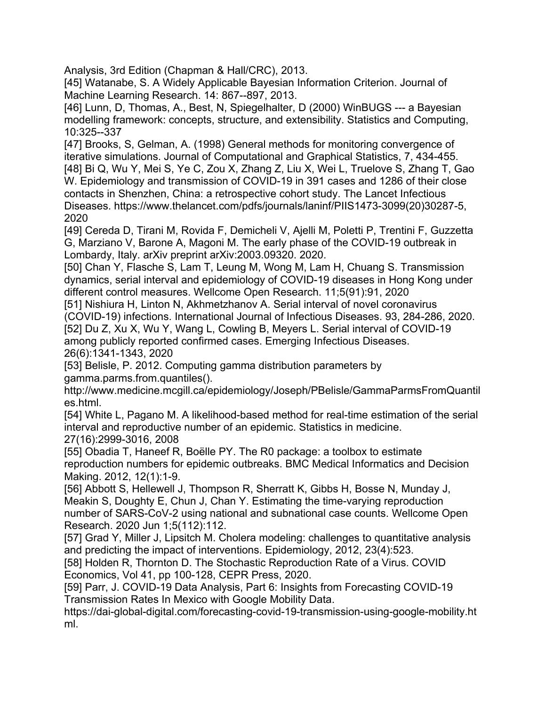Analysis, 3rd Edition (Chapman & Hall/CRC), 2013.

[45] Watanabe, S. A Widely Applicable Bayesian Information Criterion. Journal of Machine Learning Research. 14: 867--897, 2013.

[46] Lunn, D, Thomas, A., Best, N, Spiegelhalter, D (2000) WinBUGS --- a Bayesian modelling framework: concepts, structure, and extensibility. Statistics and Computing, 10:325--337

[47] Brooks, S, Gelman, A. (1998) General methods for monitoring convergence of iterative simulations. Journal of Computational and Graphical Statistics, 7, 434-455. [48] Bi Q, Wu Y, Mei S, Ye C, Zou X, Zhang Z, Liu X, Wei L, Truelove S, Zhang T, Gao W. Epidemiology and transmission of COVID-19 in 391 cases and 1286 of their close contacts in Shenzhen, China: a retrospective cohort study. The Lancet Infectious Diseases. https://www.thelancet.com/pdfs/journals/laninf/PIIS1473-3099(20)30287-5, 2020

[49] Cereda D, Tirani M, Rovida F, Demicheli V, Ajelli M, Poletti P, Trentini F, Guzzetta G, Marziano V, Barone A, Magoni M. The early phase of the COVID-19 outbreak in Lombardy, Italy. arXiv preprint arXiv:2003.09320. 2020.

[50] Chan Y, Flasche S, Lam T, Leung M, Wong M, Lam H, Chuang S. Transmission dynamics, serial interval and epidemiology of COVID-19 diseases in Hong Kong under different control measures. Wellcome Open Research. 11;5(91):91, 2020

[51] Nishiura H, Linton N, Akhmetzhanov A. Serial interval of novel coronavirus (COVID-19) infections. International Journal of Infectious Diseases. 93, 284-286, 2020. [52] Du Z, Xu X, Wu Y, Wang L, Cowling B, Meyers L. Serial interval of COVID-19 among publicly reported confirmed cases. Emerging Infectious Diseases. 26(6):1341-1343, 2020

[53] Belisle, P. 2012. Computing gamma distribution parameters by gamma.parms.from.quantiles().

http://www.medicine.mcgill.ca/epidemiology/Joseph/PBelisle/GammaParmsFromQuantil es.html.

[54] White L, Pagano M. A likelihood-based method for real-time estimation of the serial interval and reproductive number of an epidemic. Statistics in medicine. 27(16):2999-3016, 2008

[55] Obadia T, Haneef R, Boëlle PY. The R0 package: a toolbox to estimate reproduction numbers for epidemic outbreaks. BMC Medical Informatics and Decision Making. 2012, 12(1):1-9.

[56] Abbott S, Hellewell J, Thompson R, Sherratt K, Gibbs H, Bosse N, Munday J, Meakin S, Doughty E, Chun J, Chan Y. Estimating the time-varying reproduction number of SARS-CoV-2 using national and subnational case counts. Wellcome Open Research. 2020 Jun 1;5(112):112.

[57] Grad Y, Miller J, Lipsitch M. Cholera modeling: challenges to quantitative analysis and predicting the impact of interventions. Epidemiology, 2012, 23(4):523.

[58] Holden R, Thornton D. The Stochastic Reproduction Rate of a Virus. COVID Economics, Vol 41, pp 100-128, CEPR Press, 2020.

[59] Parr, J. COVID-19 Data Analysis, Part 6: Insights from Forecasting COVID-19 Transmission Rates In Mexico with Google Mobility Data.

https://dai-global-digital.com/forecasting-covid-19-transmission-using-google-mobility.ht ml.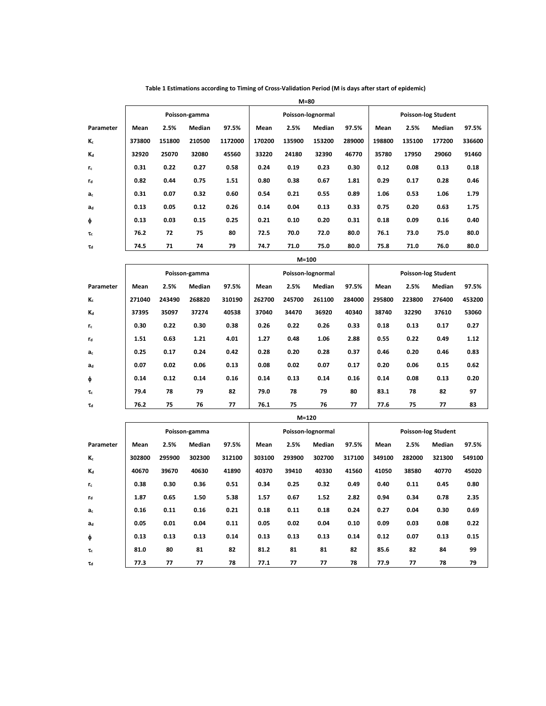|                           | Poisson-gamma |        |               |         |        |         | Poisson-lognormal |        | <b>Poisson-log Student</b> |        |        |        |  |  |
|---------------------------|---------------|--------|---------------|---------|--------|---------|-------------------|--------|----------------------------|--------|--------|--------|--|--|
| Parameter                 | Mean          | 2.5%   | Median        | 97.5%   | Mean   | 2.5%    | Median            | 97.5%  | Mean                       | 2.5%   | Median | 97.5%  |  |  |
| Κc                        | 373800        | 151800 | 210500        | 1172000 | 170200 | 135900  | 153200            | 289000 | 198800                     | 135100 | 177200 | 336600 |  |  |
| Kd                        | 32920         | 25070  | 32080         | 45560   | 33220  | 24180   | 32390             | 46770  | 35780                      | 17950  | 29060  | 91460  |  |  |
| rc                        | 0.31          | 0.22   | 0.27          | 0.58    | 0.24   | 0.19    | 0.23              | 0.30   | 0.12                       | 0.08   | 0.13   | 0.18   |  |  |
| rd                        | 0.82          | 0.44   | 0.75          | 1.51    | 0.80   | 0.38    | 0.67              | 1.81   | 0.29                       | 0.17   | 0.28   | 0.46   |  |  |
| ac                        | 0.31          | 0.07   | 0.32          | 0.60    | 0.54   | 0.21    | 0.55              | 0.89   | 1.06                       | 0.53   | 1.06   | 1.79   |  |  |
| $\mathbf{a}_{\mathsf{d}}$ | 0.13          | 0.05   | 0.12          | 0.26    | 0.14   | 0.04    | 0.13              | 0.33   | 0.75                       | 0.20   | 0.63   | 1.75   |  |  |
| ф                         | 0.13          | 0.03   | 0.15          | 0.25    | 0.21   | 0.10    | 0.20              | 0.31   | 0.18                       | 0.09   | 0.16   | 0.40   |  |  |
| τ                         | 76.2          | 72     | 75            | 80      | 72.5   | 70.0    | 72.0              | 80.0   | 76.1                       | 73.0   | 75.0   | 80.0   |  |  |
| Td                        | 74.5          | 71     | 74            | 79      | 74.7   | 71.0    | 75.0              | 80.0   | 75.8                       | 71.0   | 76.0   | 80.0   |  |  |
|                           | $M=100$       |        |               |         |        |         |                   |        |                            |        |        |        |  |  |
|                           |               |        | Poisson-gamma |         |        |         | Poisson-lognormal |        | <b>Poisson-log Student</b> |        |        |        |  |  |
| Parameter                 | Mean          | 2.5%   | Median        | 97.5%   | Mean   | 2.5%    | Median            | 97.5%  | Mean                       | 2.5%   | Median | 97.5%  |  |  |
| K.                        | 271040        | 243490 | 268820        | 310190  | 262700 | 245700  | 261100            | 284000 | 295800                     | 223800 | 276400 | 453200 |  |  |
| Kd                        | 37395         | 35097  | 37274         | 40538   | 37040  | 34470   | 36920             | 40340  | 38740                      | 32290  | 37610  | 53060  |  |  |
| rc                        | 0.30          | 0.22   | 0.30          | 0.38    | 0.26   | 0.22    | 0.26              | 0.33   | 0.18                       | 0.13   | 0.17   | 0.27   |  |  |
| $\mathbf{r}_\mathsf{d}$   | 1.51          | 0.63   | 1.21          | 4.01    | 1.27   | 0.48    | 1.06              | 2.88   | 0.55                       | 0.22   | 0.49   | 1.12   |  |  |
| ac                        | 0.25          | 0.17   | 0.24          | 0.42    | 0.28   | 0.20    | 0.28              | 0.37   | 0.46                       | 0.20   | 0.46   | 0.83   |  |  |
| ad                        | 0.07          | 0.02   | 0.06          | 0.13    | 0.08   | 0.02    | 0.07              | 0.17   | 0.20                       | 0.06   | 0.15   | 0.62   |  |  |
| ф                         | 0.14          | 0.12   | 0.14          | 0.16    | 0.14   | 0.13    | 0.14              | 0.16   | 0.14                       | 0.08   | 0.13   | 0.20   |  |  |
| $\tau_{\rm c}$            | 79.4          | 78     | 79            | 82      | 79.0   | 78      | 79                | 80     | 83.1                       | 78     | 82     | 97     |  |  |
| Td                        | 76.2          | 75     | 76            | 77      | 76.1   | 75      | 76                | 77     | 77.6                       | 75     | 77     | 83     |  |  |
|                           |               |        |               |         |        | $M=120$ |                   |        |                            |        |        |        |  |  |
|                           | Poisson-gamma |        |               |         |        |         | Poisson-lognormal |        | <b>Poisson-log Student</b> |        |        |        |  |  |
| Parameter                 | Mean          | 2.5%   | Median        | 97.5%   | Mean   | 2.5%    | Median            | 97.5%  | Mean                       | 2.5%   | Median | 97.5%  |  |  |
| K <sub>c</sub>            | 302800        | 295900 | 302300        | 312100  | 303100 | 293900  | 302700            | 317100 | 349100                     | 282000 | 321300 | 549100 |  |  |
| Kd                        | 40670         | 39670  | 40630         | 41890   | 40370  | 39410   | 40330             | 41560  | 41050                      | 38580  | 40770  | 45020  |  |  |
| rc                        | 0.38          | 0.30   | 0.36          | 0.51    | 0.34   | 0.25    | 0.32              | 0.49   | 0.40                       | 0.11   | 0.45   | 0.80   |  |  |
| rd                        | 1.87          | 0.65   | 1.50          | 5.38    | 1.57   | 0.67    | 1.52              | 2.82   | 0.94                       | 0.34   | 0.78   | 2.35   |  |  |
| a                         | 0.16          | 0.11   | 0.16          | 0.21    | 0.18   | 0.11    | 0.18              | 0.24   | 0.27                       | 0.04   | 0.30   | 0.69   |  |  |
| ad                        | 0.05          | 0.01   | 0.04          | 0.11    | 0.05   | 0.02    | 0.04              | 0.10   | 0.09                       | 0.03   | 0.08   | 0.22   |  |  |
| ф                         | 0.13          | 0.13   | 0.13          | 0.14    | 0.13   | 0.13    | 0.13              | 0.14   | 0.12                       | 0.07   | 0.13   | 0.15   |  |  |
| $\tau_c$                  | 81.0          | 80     | 81            | 82      | 81.2   | 81      | 81                | 82     | 85.6                       | 82     | 84     | 99     |  |  |
| $\tau_{\rm d}$            | 77.3          | 77     | 77            | 78      | 77.1   | 77      | 77                | 78     | 77.9                       | 77     | 78     | 79     |  |  |

**Table 1 Estimations according to Timing of Cross‐Validation Period (M is days after start of epidemic)** 

**M=80**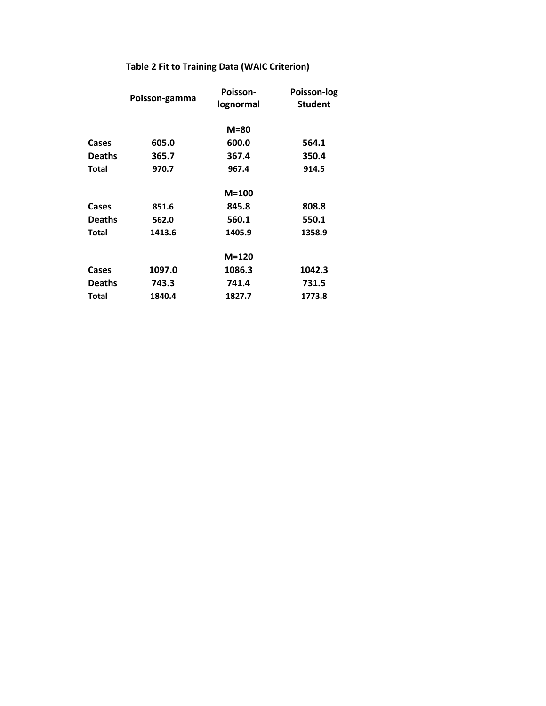## **Table 2 Fit to Training Data (WAIC Criterion)**

|               | Poisson-gamma | Poisson-<br>lognormal | Poisson-log<br><b>Student</b> |  |  |  |
|---------------|---------------|-----------------------|-------------------------------|--|--|--|
|               |               | $M = 80$              |                               |  |  |  |
| Cases         | 605.0         | 600.0                 | 564.1                         |  |  |  |
| <b>Deaths</b> | 365.7         | 367.4                 | 350.4                         |  |  |  |
| <b>Total</b>  | 970.7         | 967.4                 | 914.5                         |  |  |  |
|               |               | $M=100$               |                               |  |  |  |
| Cases         | 851.6         | 845.8                 | 808.8                         |  |  |  |
| <b>Deaths</b> | 562.0         | 560.1                 | 550.1                         |  |  |  |
| Total         | 1413.6        | 1405.9                | 1358.9                        |  |  |  |
|               |               | $M=120$               |                               |  |  |  |
| Cases         | 1097.0        | 1086.3                | 1042.3                        |  |  |  |
| <b>Deaths</b> | 743.3         | 741.4                 | 731.5                         |  |  |  |
| <b>Total</b>  | 1840.4        | 1827.7                | 1773.8                        |  |  |  |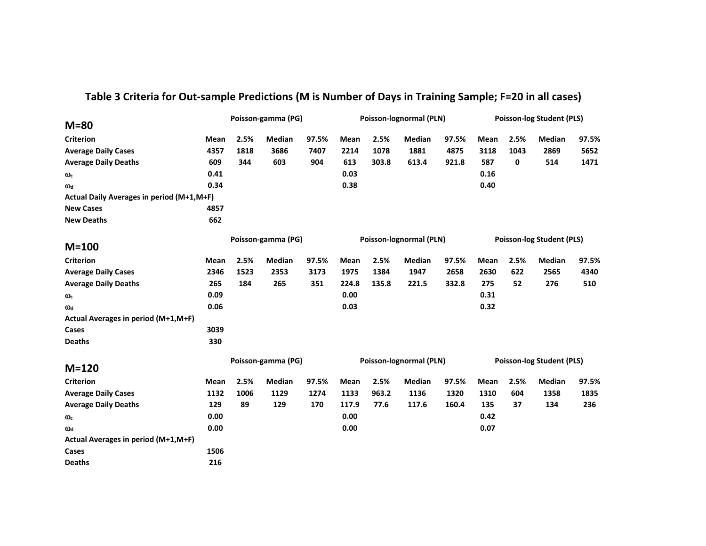| $M = 80$                                  | Poisson-gamma (PG) |                    |               |                         | Poisson-lognormal (PLN) |       |               |                                  | <b>Poisson-log Student (PLS)</b> |      |               |       |
|-------------------------------------------|--------------------|--------------------|---------------|-------------------------|-------------------------|-------|---------------|----------------------------------|----------------------------------|------|---------------|-------|
| <b>Criterion</b>                          | Mean               | 2.5%               | <b>Median</b> | 97.5%                   | Mean                    | 2.5%  | <b>Median</b> | 97.5%                            | <b>Mean</b>                      | 2.5% | <b>Median</b> | 97.5% |
| <b>Average Daily Cases</b>                | 4357               | 1818               | 3686          | 7407                    | 2214                    | 1078  | 1881          | 4875                             | 3118                             | 1043 | 2869          | 5652  |
| <b>Average Daily Deaths</b>               | 609                | 344                | 603           | 904                     | 613                     | 303.8 | 613.4         | 921.8                            | 587                              | 0    | 514           | 1471  |
| $\omega_c$                                | 0.41               |                    |               |                         | 0.03                    |       |               |                                  | 0.16                             |      |               |       |
| $\omega_d$                                | 0.34               |                    |               |                         | 0.38                    |       |               |                                  | 0.40                             |      |               |       |
| Actual Daily Averages in period (M+1,M+F) |                    |                    |               |                         |                         |       |               |                                  |                                  |      |               |       |
| <b>New Cases</b>                          | 4857               |                    |               |                         |                         |       |               |                                  |                                  |      |               |       |
| <b>New Deaths</b>                         | 662                |                    |               |                         |                         |       |               |                                  |                                  |      |               |       |
| $M=100$                                   |                    | Poisson-gamma (PG) |               |                         | Poisson-lognormal (PLN) |       |               |                                  | <b>Poisson-log Student (PLS)</b> |      |               |       |
| <b>Criterion</b>                          | Mean               | 2.5%               | <b>Median</b> | 97.5%                   | Mean                    | 2.5%  | <b>Median</b> | 97.5%                            | Mean                             | 2.5% | Median        | 97.5% |
| <b>Average Daily Cases</b>                | 2346               | 1523               | 2353          | 3173                    | 1975                    | 1384  | 1947          | 2658                             | 2630                             | 622  | 2565          | 4340  |
| <b>Average Daily Deaths</b>               | 265                | 184                | 265           | 351                     | 224.8                   | 135.8 | 221.5         | 332.8                            | 275                              | 52   | 276           | 510   |
| $\omega_c$                                | 0.09               |                    |               |                         | 0.00                    |       |               |                                  | 0.31                             |      |               |       |
| $\omega_d$                                | 0.06               |                    |               |                         | 0.03                    |       |               |                                  | 0.32                             |      |               |       |
| Actual Averages in period (M+1,M+F)       |                    |                    |               |                         |                         |       |               |                                  |                                  |      |               |       |
| Cases                                     | 3039               |                    |               |                         |                         |       |               |                                  |                                  |      |               |       |
| <b>Deaths</b>                             | 330                |                    |               |                         |                         |       |               |                                  |                                  |      |               |       |
| $M=120$                                   | Poisson-gamma (PG) |                    |               | Poisson-lognormal (PLN) |                         |       |               | <b>Poisson-log Student (PLS)</b> |                                  |      |               |       |
| <b>Criterion</b>                          | Mean               | 2.5%               | Median        | 97.5%                   | Mean                    | 2.5%  | Median        | 97.5%                            | Mean                             | 2.5% | Median        | 97.5% |
| <b>Average Daily Cases</b>                | 1132               | 1006               | 1129          | 1274                    | 1133                    | 963.2 | 1136          | 1320                             | 1310                             | 604  | 1358          | 1835  |
| <b>Average Daily Deaths</b>               | 129                | 89                 | 129           | 170                     | 117.9                   | 77.6  | 117.6         | 160.4                            | 135                              | 37   | 134           | 236   |
| $\omega_c$                                | 0.00               |                    |               |                         | 0.00                    |       |               |                                  | 0.42                             |      |               |       |
| $\omega_d$                                | 0.00               |                    |               |                         | 0.00                    |       |               |                                  | 0.07                             |      |               |       |
| Actual Averages in period (M+1,M+F)       |                    |                    |               |                         |                         |       |               |                                  |                                  |      |               |       |
| Cases                                     | 1506               |                    |               |                         |                         |       |               |                                  |                                  |      |               |       |
| <b>Deaths</b>                             | 216                |                    |               |                         |                         |       |               |                                  |                                  |      |               |       |

## **Table 3 Criteria for Out‐sample Predictions (M is Number of Days in Training Sample; F=20 in all cases)**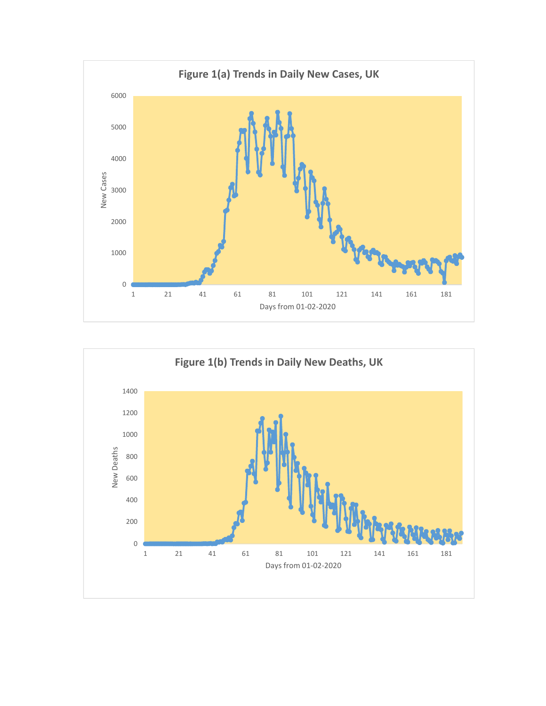

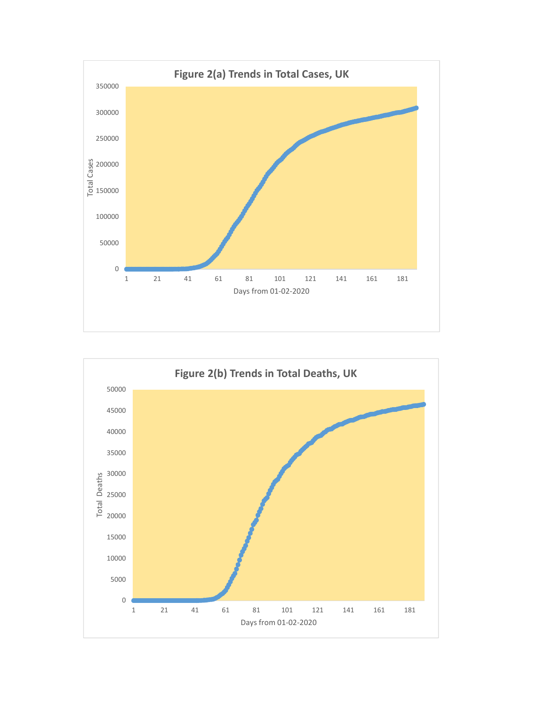

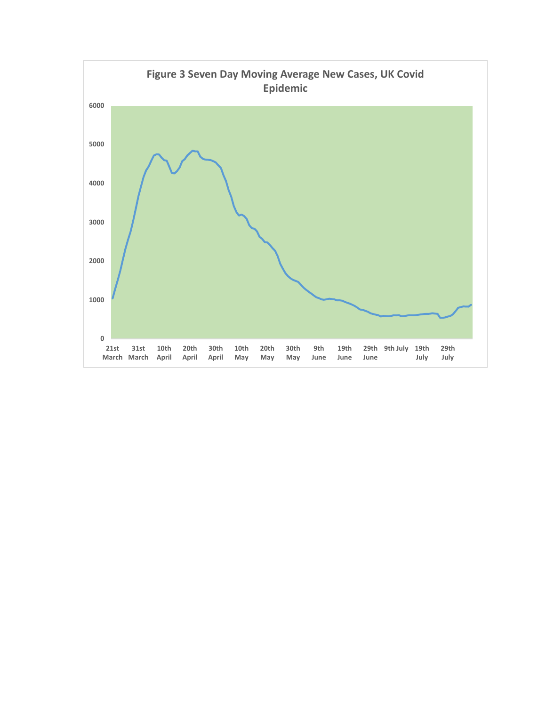